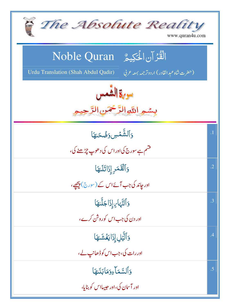| The Absolute Reality<br>www.quran4u.com                                                                                          |                 |
|----------------------------------------------------------------------------------------------------------------------------------|-----------------|
| الْقُرْآنِ الْحَكِيمُ ِ Noble Quran<br>Urdu Translation (Shah Abdul Qadir)<br>(حضرت شاه عبد القادر) اردوتر <i>جمه بمعه ع</i> ربي |                 |
| بسمو اللوالرَّحْمَنِ الرَّحِيمِ                                                                                                  |                 |
| وَٱلشَّمۡسِ وَضُحَلَهَا<br>قشم ہے سورج کی اور اس کی د ھوپ چڑھنے گی،                                                              | $\cdot$ 1       |
| وَٱلۡقَمَرِ إِذَاتَلَىٰهَا<br>اور جاند کی جب آئےاس کے (سورج) پیچھے،                                                              | $\overline{.2}$ |
| وَٱلنَّهَايِ إِذَا جَلَّيْهَا<br>اور دن کی جب اس کوروش کرے،                                                                      | .3              |
| وَٱلَّيۡلِ إِذَا يَغۡشَىٰهَا<br>اور رات کی، جب اس کوڈھانپ لے،                                                                    | .4              |
| وَٱلسَّمَاءِوَمَابَنَدهَا<br>اور آسان کی،اور حبیبااس کو بنایا،                                                                   | .5              |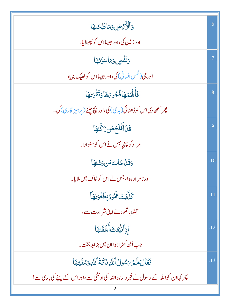| وَٱلْأَرْضِ وَمَاطَحَهَا                                                          | .6        |
|-----------------------------------------------------------------------------------|-----------|
| اور زمین کی،اور حبیبااس کو پھیلایا،                                               |           |
| وَنَفَّسٍ وَمَاسَوَّلِهَا                                                         | $\cdot$ 7 |
| اور جی( <sup>نفس</sup> انسانی) کی،اور حبیبااس کو ٹھیک بنایا،                      |           |
| فَأَلَّمَهَاؤُجُوبَهَا وَتَقْوَلِهَا                                              | .8        |
| پھر سمجھ دی اس کو ڈھٹائی(بدی) کی،اور پچ چلنے (پر ہیز گاری) کی۔                    |           |
| قَنْ أَفَلَحَهَن زَكَّنهَا                                                        | .9        |
| مراد کو پېنچاجس نےاس کو سنوارا۔                                                   |           |
| وَقَلْ خَابِ مَن رَسَّلِهَا                                                       | .10       |
| اور نامر اد ہوا، جس نے اس کوخاک میں ملایا۔                                        |           |
| <b>ِّكَنُّ</b> كِتَ ثَمُودُبِطَغُوَلِّهَا                                         | .11       |
| حفظلا یاشمودنے اپنی شر ارت سے،                                                    |           |
| إذِالْبُعَثَ أَشُقَلَهَا                                                          | .12       |
| جب اُٹھ کھڑ اہواان میں بڑابد بخت۔                                                 |           |
| فَقَالَ هُمَرَ مَسْولُ اللَّهِ نَاقَةَ اللَّهِ وَسُقَّيْهَا                       | .13       |
| پھر کہاان کواللہ کے رسول نے خبر دار ہواللہ کی اونٹنی سے،اوراس کے پینے کی باری سے! |           |